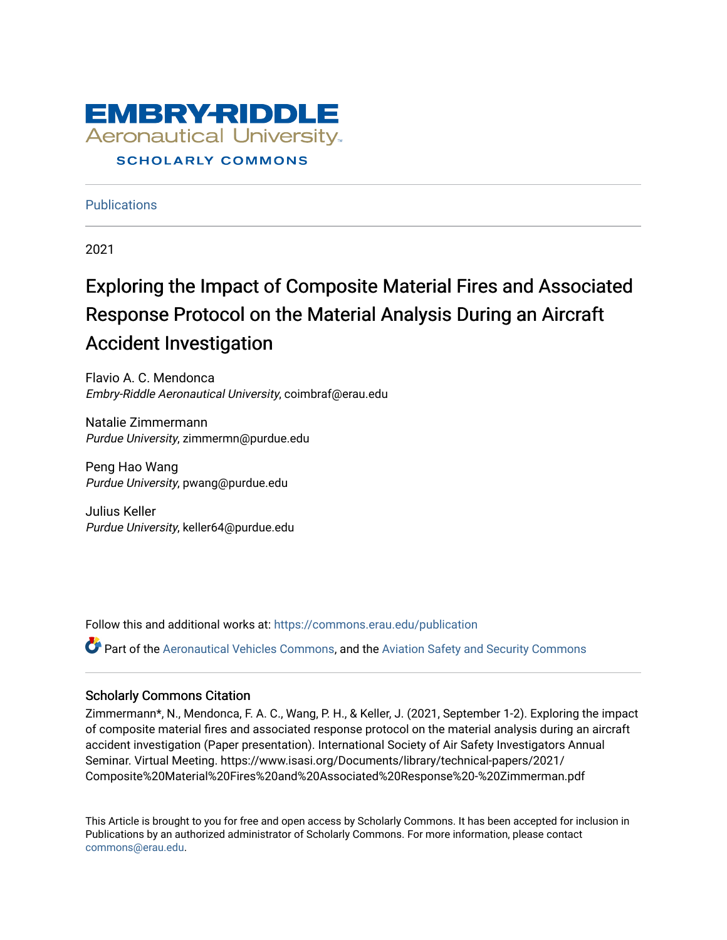

**Publications** 

2021

# Exploring the Impact of Composite Material Fires and Associated Response Protocol on the Material Analysis During an Aircraft Accident Investigation

Flavio A. C. Mendonca Embry-Riddle Aeronautical University, coimbraf@erau.edu

Natalie Zimmermann Purdue University, zimmermn@purdue.edu

Peng Hao Wang Purdue University, pwang@purdue.edu

Julius Keller Purdue University, keller64@purdue.edu

Follow this and additional works at: [https://commons.erau.edu/publication](https://commons.erau.edu/publication?utm_source=commons.erau.edu%2Fpublication%2F1700&utm_medium=PDF&utm_campaign=PDFCoverPages) 

Part of the [Aeronautical Vehicles Commons,](http://network.bepress.com/hgg/discipline/219?utm_source=commons.erau.edu%2Fpublication%2F1700&utm_medium=PDF&utm_campaign=PDFCoverPages) and the [Aviation Safety and Security Commons](http://network.bepress.com/hgg/discipline/1320?utm_source=commons.erau.edu%2Fpublication%2F1700&utm_medium=PDF&utm_campaign=PDFCoverPages)

# Scholarly Commons Citation

Zimmermann\*, N., Mendonca, F. A. C., Wang, P. H., & Keller, J. (2021, September 1-2). Exploring the impact of composite material fires and associated response protocol on the material analysis during an aircraft accident investigation (Paper presentation). International Society of Air Safety Investigators Annual Seminar. Virtual Meeting. https://www.isasi.org/Documents/library/technical-papers/2021/ Composite%20Material%20Fires%20and%20Associated%20Response%20-%20Zimmerman.pdf

This Article is brought to you for free and open access by Scholarly Commons. It has been accepted for inclusion in Publications by an authorized administrator of Scholarly Commons. For more information, please contact [commons@erau.edu](mailto:commons@erau.edu).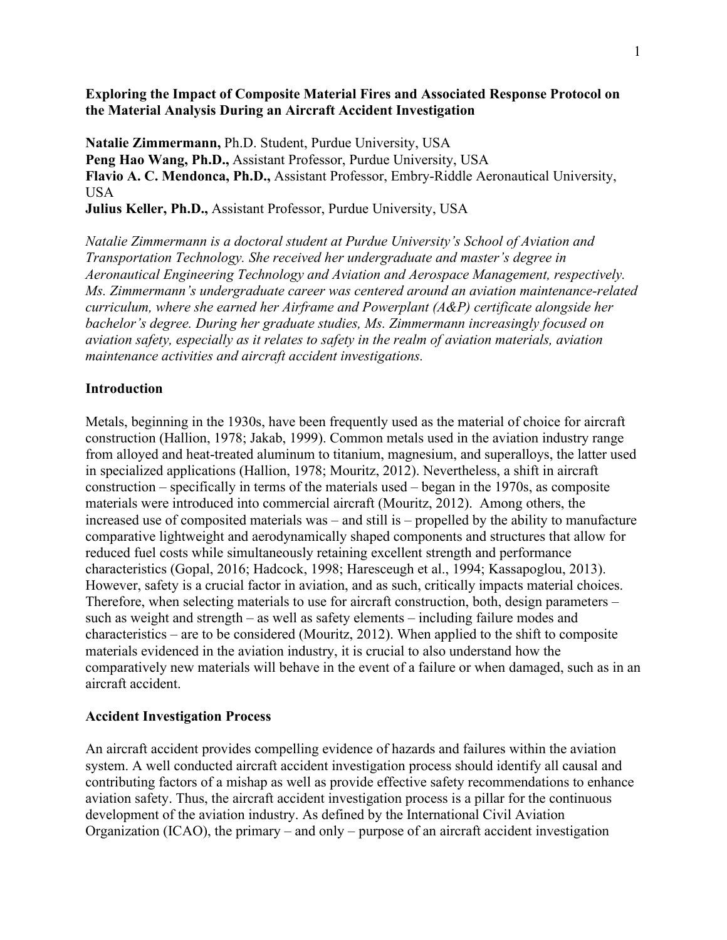# **Exploring the Impact of Composite Material Fires and Associated Response Protocol on the Material Analysis During an Aircraft Accident Investigation**

**Natalie Zimmermann,** Ph.D. Student, Purdue University, USA **Peng Hao Wang, Ph.D.,** Assistant Professor, Purdue University, USA **Flavio A. C. Mendonca, Ph.D.,** Assistant Professor, Embry-Riddle Aeronautical University, **USA** 

**Julius Keller, Ph.D.,** Assistant Professor, Purdue University, USA

*Natalie Zimmermann is a doctoral student at Purdue University's School of Aviation and Transportation Technology. She received her undergraduate and master's degree in Aeronautical Engineering Technology and Aviation and Aerospace Management, respectively. Ms. Zimmermann's undergraduate career was centered around an aviation maintenance-related curriculum, where she earned her Airframe and Powerplant (A&P) certificate alongside her bachelor's degree. During her graduate studies, Ms. Zimmermann increasingly focused on aviation safety, especially as it relates to safety in the realm of aviation materials, aviation maintenance activities and aircraft accident investigations.* 

# **Introduction**

Metals, beginning in the 1930s, have been frequently used as the material of choice for aircraft construction (Hallion, 1978; Jakab, 1999). Common metals used in the aviation industry range from alloyed and heat-treated aluminum to titanium, magnesium, and superalloys, the latter used in specialized applications (Hallion, 1978; Mouritz, 2012). Nevertheless, a shift in aircraft construction – specifically in terms of the materials used – began in the 1970s, as composite materials were introduced into commercial aircraft (Mouritz, 2012). Among others, the increased use of composited materials was – and still is – propelled by the ability to manufacture comparative lightweight and aerodynamically shaped components and structures that allow for reduced fuel costs while simultaneously retaining excellent strength and performance characteristics (Gopal, 2016; Hadcock, 1998; Haresceugh et al., 1994; Kassapoglou, 2013). However, safety is a crucial factor in aviation, and as such, critically impacts material choices. Therefore, when selecting materials to use for aircraft construction, both, design parameters – such as weight and strength – as well as safety elements – including failure modes and characteristics – are to be considered (Mouritz, 2012). When applied to the shift to composite materials evidenced in the aviation industry, it is crucial to also understand how the comparatively new materials will behave in the event of a failure or when damaged, such as in an aircraft accident.

# **Accident Investigation Process**

An aircraft accident provides compelling evidence of hazards and failures within the aviation system. A well conducted aircraft accident investigation process should identify all causal and contributing factors of a mishap as well as provide effective safety recommendations to enhance aviation safety. Thus, the aircraft accident investigation process is a pillar for the continuous development of the aviation industry. As defined by the International Civil Aviation Organization (ICAO), the primary – and only – purpose of an aircraft accident investigation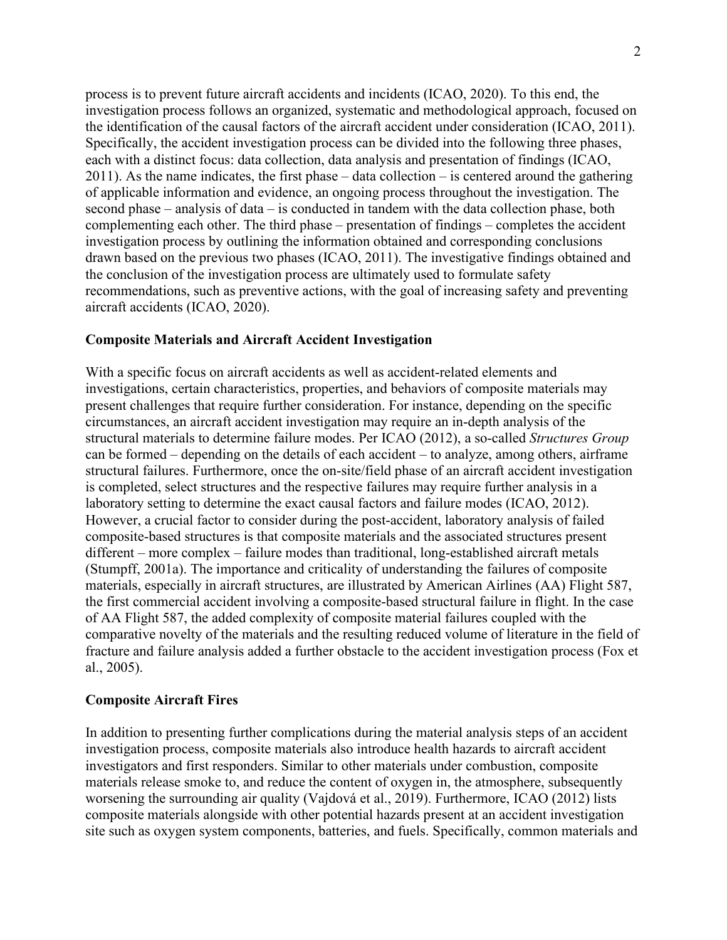process is to prevent future aircraft accidents and incidents (ICAO, 2020). To this end, the investigation process follows an organized, systematic and methodological approach, focused on the identification of the causal factors of the aircraft accident under consideration (ICAO, 2011). Specifically, the accident investigation process can be divided into the following three phases, each with a distinct focus: data collection, data analysis and presentation of findings (ICAO,  $2011$ ). As the name indicates, the first phase – data collection – is centered around the gathering of applicable information and evidence, an ongoing process throughout the investigation. The second phase – analysis of data – is conducted in tandem with the data collection phase, both complementing each other. The third phase – presentation of findings – completes the accident investigation process by outlining the information obtained and corresponding conclusions drawn based on the previous two phases (ICAO, 2011). The investigative findings obtained and the conclusion of the investigation process are ultimately used to formulate safety recommendations, such as preventive actions, with the goal of increasing safety and preventing aircraft accidents (ICAO, 2020).

# **Composite Materials and Aircraft Accident Investigation**

With a specific focus on aircraft accidents as well as accident-related elements and investigations, certain characteristics, properties, and behaviors of composite materials may present challenges that require further consideration. For instance, depending on the specific circumstances, an aircraft accident investigation may require an in-depth analysis of the structural materials to determine failure modes. Per ICAO (2012), a so-called *Structures Group*  can be formed – depending on the details of each accident – to analyze, among others, airframe structural failures. Furthermore, once the on-site/field phase of an aircraft accident investigation is completed, select structures and the respective failures may require further analysis in a laboratory setting to determine the exact causal factors and failure modes (ICAO, 2012). However, a crucial factor to consider during the post-accident, laboratory analysis of failed composite-based structures is that composite materials and the associated structures present different – more complex – failure modes than traditional, long-established aircraft metals (Stumpff, 2001a). The importance and criticality of understanding the failures of composite materials, especially in aircraft structures, are illustrated by American Airlines (AA) Flight 587, the first commercial accident involving a composite-based structural failure in flight. In the case of AA Flight 587, the added complexity of composite material failures coupled with the comparative novelty of the materials and the resulting reduced volume of literature in the field of fracture and failure analysis added a further obstacle to the accident investigation process (Fox et al., 2005).

# **Composite Aircraft Fires**

In addition to presenting further complications during the material analysis steps of an accident investigation process, composite materials also introduce health hazards to aircraft accident investigators and first responders. Similar to other materials under combustion, composite materials release smoke to, and reduce the content of oxygen in, the atmosphere, subsequently worsening the surrounding air quality (Vajdová et al., 2019). Furthermore, ICAO (2012) lists composite materials alongside with other potential hazards present at an accident investigation site such as oxygen system components, batteries, and fuels. Specifically, common materials and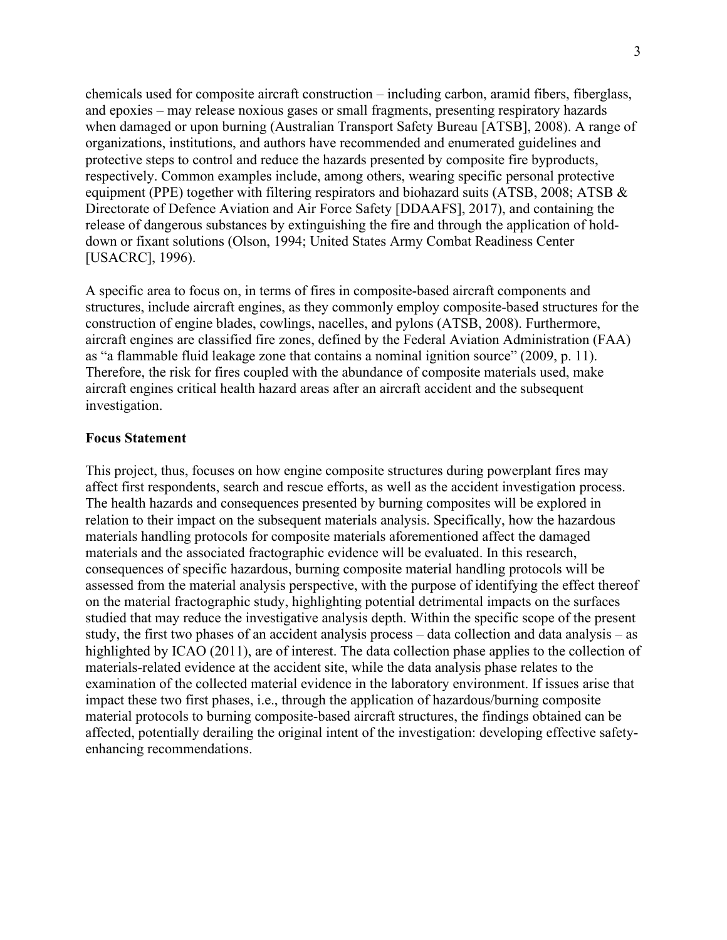chemicals used for composite aircraft construction – including carbon, aramid fibers, fiberglass, and epoxies – may release noxious gases or small fragments, presenting respiratory hazards when damaged or upon burning (Australian Transport Safety Bureau [ATSB], 2008). A range of organizations, institutions, and authors have recommended and enumerated guidelines and protective steps to control and reduce the hazards presented by composite fire byproducts, respectively. Common examples include, among others, wearing specific personal protective equipment (PPE) together with filtering respirators and biohazard suits (ATSB, 2008; ATSB & Directorate of Defence Aviation and Air Force Safety [DDAAFS], 2017), and containing the release of dangerous substances by extinguishing the fire and through the application of holddown or fixant solutions (Olson, 1994; United States Army Combat Readiness Center [USACRC], 1996).

A specific area to focus on, in terms of fires in composite-based aircraft components and structures, include aircraft engines, as they commonly employ composite-based structures for the construction of engine blades, cowlings, nacelles, and pylons (ATSB, 2008). Furthermore, aircraft engines are classified fire zones, defined by the Federal Aviation Administration (FAA) as "a flammable fluid leakage zone that contains a nominal ignition source" (2009, p. 11). Therefore, the risk for fires coupled with the abundance of composite materials used, make aircraft engines critical health hazard areas after an aircraft accident and the subsequent investigation.

# **Focus Statement**

This project, thus, focuses on how engine composite structures during powerplant fires may affect first respondents, search and rescue efforts, as well as the accident investigation process. The health hazards and consequences presented by burning composites will be explored in relation to their impact on the subsequent materials analysis. Specifically, how the hazardous materials handling protocols for composite materials aforementioned affect the damaged materials and the associated fractographic evidence will be evaluated. In this research, consequences of specific hazardous, burning composite material handling protocols will be assessed from the material analysis perspective, with the purpose of identifying the effect thereof on the material fractographic study, highlighting potential detrimental impacts on the surfaces studied that may reduce the investigative analysis depth. Within the specific scope of the present study, the first two phases of an accident analysis process – data collection and data analysis – as highlighted by ICAO (2011), are of interest. The data collection phase applies to the collection of materials-related evidence at the accident site, while the data analysis phase relates to the examination of the collected material evidence in the laboratory environment. If issues arise that impact these two first phases, i.e., through the application of hazardous/burning composite material protocols to burning composite-based aircraft structures, the findings obtained can be affected, potentially derailing the original intent of the investigation: developing effective safetyenhancing recommendations.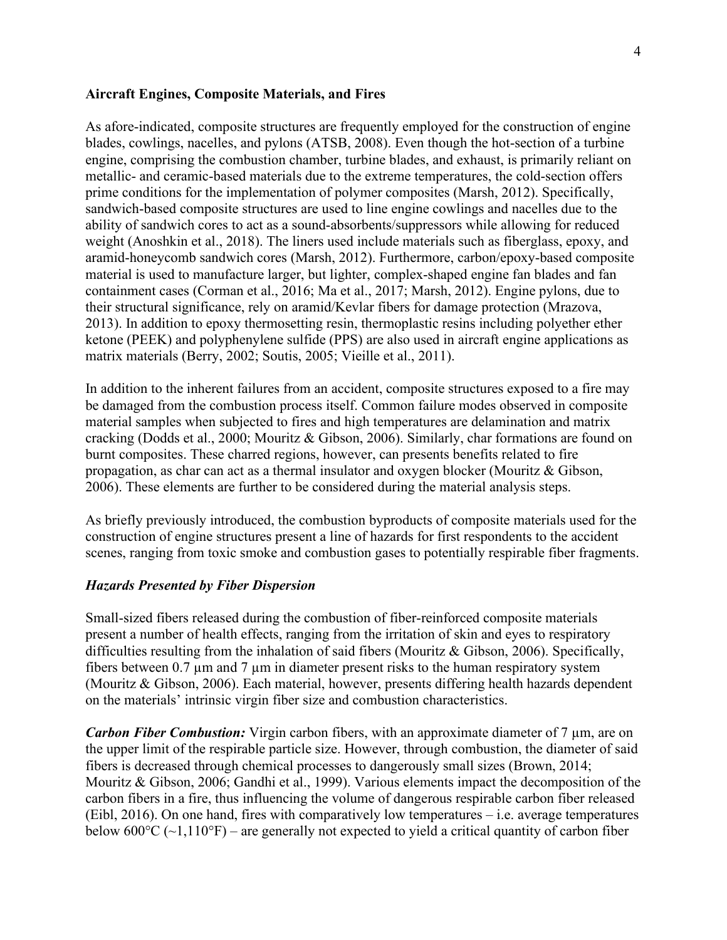#### **Aircraft Engines, Composite Materials, and Fires**

As afore-indicated, composite structures are frequently employed for the construction of engine blades, cowlings, nacelles, and pylons (ATSB, 2008). Even though the hot-section of a turbine engine, comprising the combustion chamber, turbine blades, and exhaust, is primarily reliant on metallic- and ceramic-based materials due to the extreme temperatures, the cold-section offers prime conditions for the implementation of polymer composites (Marsh, 2012). Specifically, sandwich-based composite structures are used to line engine cowlings and nacelles due to the ability of sandwich cores to act as a sound-absorbents/suppressors while allowing for reduced weight (Anoshkin et al., 2018). The liners used include materials such as fiberglass, epoxy, and aramid-honeycomb sandwich cores (Marsh, 2012). Furthermore, carbon/epoxy-based composite material is used to manufacture larger, but lighter, complex-shaped engine fan blades and fan containment cases (Corman et al., 2016; Ma et al., 2017; Marsh, 2012). Engine pylons, due to their structural significance, rely on aramid/Kevlar fibers for damage protection (Mrazova, 2013). In addition to epoxy thermosetting resin, thermoplastic resins including polyether ether ketone (PEEK) and polyphenylene sulfide (PPS) are also used in aircraft engine applications as matrix materials (Berry, 2002; Soutis, 2005; Vieille et al., 2011).

In addition to the inherent failures from an accident, composite structures exposed to a fire may be damaged from the combustion process itself. Common failure modes observed in composite material samples when subjected to fires and high temperatures are delamination and matrix cracking (Dodds et al., 2000; Mouritz & Gibson, 2006). Similarly, char formations are found on burnt composites. These charred regions, however, can presents benefits related to fire propagation, as char can act as a thermal insulator and oxygen blocker (Mouritz & Gibson, 2006). These elements are further to be considered during the material analysis steps.

As briefly previously introduced, the combustion byproducts of composite materials used for the construction of engine structures present a line of hazards for first respondents to the accident scenes, ranging from toxic smoke and combustion gases to potentially respirable fiber fragments.

#### *Hazards Presented by Fiber Dispersion*

Small-sized fibers released during the combustion of fiber-reinforced composite materials present a number of health effects, ranging from the irritation of skin and eyes to respiratory difficulties resulting from the inhalation of said fibers (Mouritz & Gibson, 2006). Specifically, fibers between  $0.7 \mu m$  and  $7 \mu m$  in diameter present risks to the human respiratory system (Mouritz & Gibson, 2006). Each material, however, presents differing health hazards dependent on the materials' intrinsic virgin fiber size and combustion characteristics.

*Carbon Fiber Combustion:* Virgin carbon fibers, with an approximate diameter of 7 µm, are on the upper limit of the respirable particle size. However, through combustion, the diameter of said fibers is decreased through chemical processes to dangerously small sizes (Brown, 2014; Mouritz & Gibson, 2006; Gandhi et al., 1999). Various elements impact the decomposition of the carbon fibers in a fire, thus influencing the volume of dangerous respirable carbon fiber released (Eibl, 2016). On one hand, fires with comparatively low temperatures – i.e. average temperatures below  $600^{\circ}C$  ( $\sim$ 1,110 $^{\circ}F$ ) – are generally not expected to yield a critical quantity of carbon fiber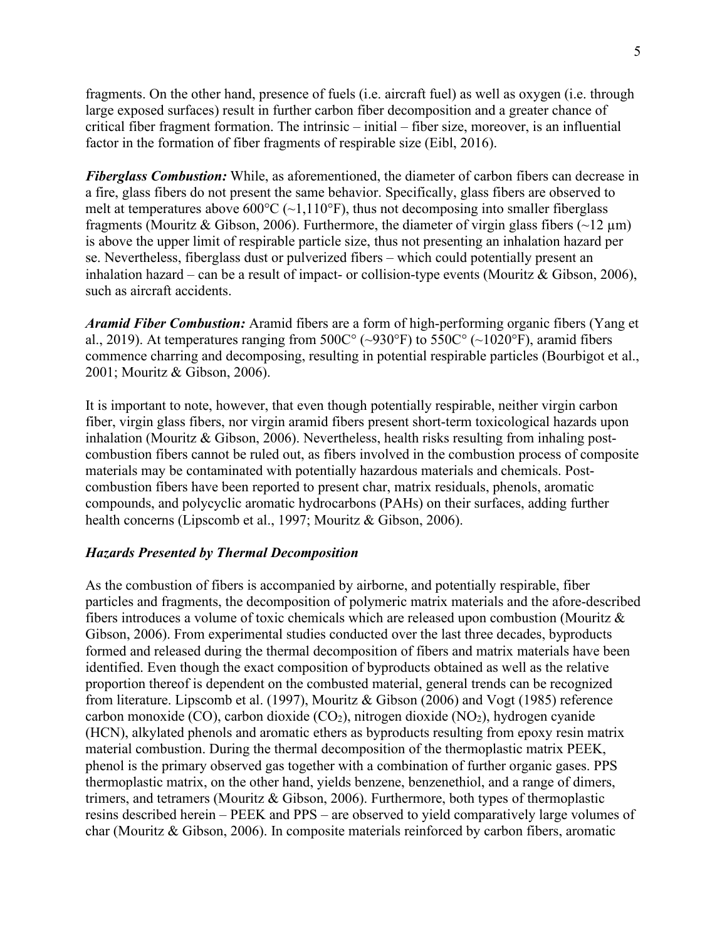fragments. On the other hand, presence of fuels (i.e. aircraft fuel) as well as oxygen (i.e. through large exposed surfaces) result in further carbon fiber decomposition and a greater chance of critical fiber fragment formation. The intrinsic – initial – fiber size, moreover, is an influential factor in the formation of fiber fragments of respirable size (Eibl, 2016).

*Fiberglass Combustion:* While, as aforementioned, the diameter of carbon fibers can decrease in a fire, glass fibers do not present the same behavior. Specifically, glass fibers are observed to melt at temperatures above  $600^{\circ}C$  ( $\sim$ 1,110°F), thus not decomposing into smaller fiberglass fragments (Mouritz & Gibson, 2006). Furthermore, the diameter of virgin glass fibers  $(\sim 12 \,\mu m)$ is above the upper limit of respirable particle size, thus not presenting an inhalation hazard per se. Nevertheless, fiberglass dust or pulverized fibers – which could potentially present an inhalation hazard – can be a result of impact- or collision-type events (Mouritz & Gibson, 2006), such as aircraft accidents.

*Aramid Fiber Combustion:* Aramid fibers are a form of high-performing organic fibers (Yang et al., 2019). At temperatures ranging from  $500C^{\circ}$  ( $\sim$ 930°F) to  $550C^{\circ}$  ( $\sim$ 1020°F), aramid fibers commence charring and decomposing, resulting in potential respirable particles (Bourbigot et al., 2001; Mouritz & Gibson, 2006).

It is important to note, however, that even though potentially respirable, neither virgin carbon fiber, virgin glass fibers, nor virgin aramid fibers present short-term toxicological hazards upon inhalation (Mouritz & Gibson, 2006). Nevertheless, health risks resulting from inhaling postcombustion fibers cannot be ruled out, as fibers involved in the combustion process of composite materials may be contaminated with potentially hazardous materials and chemicals. Postcombustion fibers have been reported to present char, matrix residuals, phenols, aromatic compounds, and polycyclic aromatic hydrocarbons (PAHs) on their surfaces, adding further health concerns (Lipscomb et al., 1997; Mouritz & Gibson, 2006).

#### *Hazards Presented by Thermal Decomposition*

As the combustion of fibers is accompanied by airborne, and potentially respirable, fiber particles and fragments, the decomposition of polymeric matrix materials and the afore-described fibers introduces a volume of toxic chemicals which are released upon combustion (Mouritz & Gibson, 2006). From experimental studies conducted over the last three decades, byproducts formed and released during the thermal decomposition of fibers and matrix materials have been identified. Even though the exact composition of byproducts obtained as well as the relative proportion thereof is dependent on the combusted material, general trends can be recognized from literature. Lipscomb et al. (1997), Mouritz & Gibson (2006) and Vogt (1985) reference carbon monoxide (CO), carbon dioxide (CO<sub>2</sub>), nitrogen dioxide (NO<sub>2</sub>), hydrogen cyanide (HCN), alkylated phenols and aromatic ethers as byproducts resulting from epoxy resin matrix material combustion. During the thermal decomposition of the thermoplastic matrix PEEK, phenol is the primary observed gas together with a combination of further organic gases. PPS thermoplastic matrix, on the other hand, yields benzene, benzenethiol, and a range of dimers, trimers, and tetramers (Mouritz & Gibson, 2006). Furthermore, both types of thermoplastic resins described herein – PEEK and PPS – are observed to yield comparatively large volumes of char (Mouritz & Gibson, 2006). In composite materials reinforced by carbon fibers, aromatic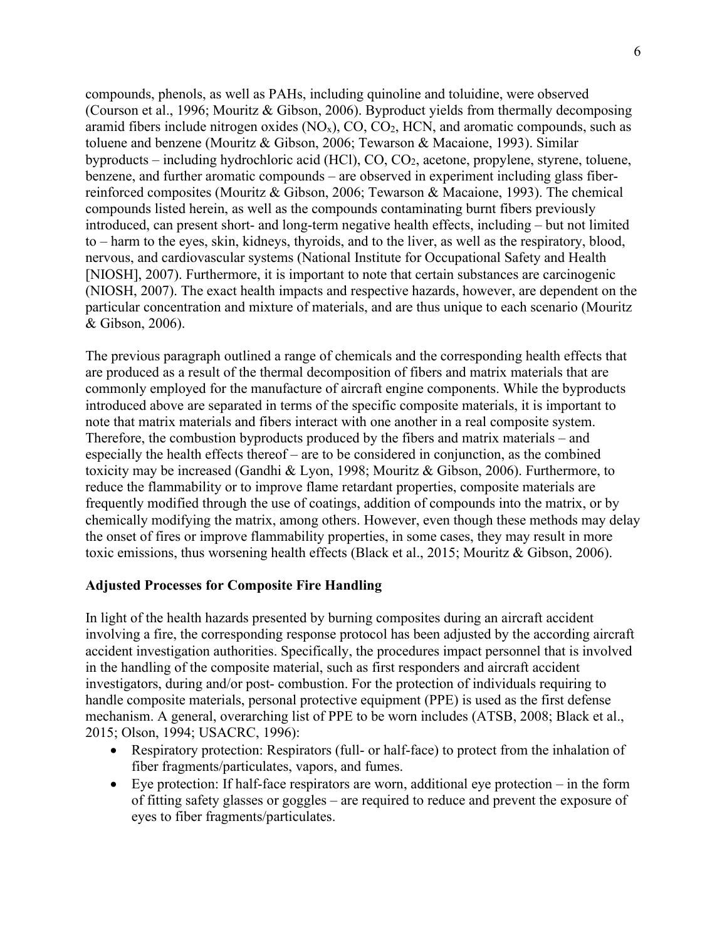compounds, phenols, as well as PAHs, including quinoline and toluidine, were observed (Courson et al., 1996; Mouritz & Gibson, 2006). Byproduct yields from thermally decomposing aramid fibers include nitrogen oxides  $(NO<sub>x</sub>)$ ,  $CO<sub>z</sub>$ ,  $CO<sub>z</sub>$ ,  $HCN$ , and aromatic compounds, such as toluene and benzene (Mouritz & Gibson, 2006; Tewarson & Macaione, 1993). Similar byproducts – including hydrochloric acid (HCl),  $CO$ ,  $CO$ <sub>2</sub>, acetone, propylene, styrene, toluene, benzene, and further aromatic compounds – are observed in experiment including glass fiberreinforced composites (Mouritz & Gibson, 2006; Tewarson & Macaione, 1993). The chemical compounds listed herein, as well as the compounds contaminating burnt fibers previously introduced, can present short- and long-term negative health effects, including – but not limited to – harm to the eyes, skin, kidneys, thyroids, and to the liver, as well as the respiratory, blood, nervous, and cardiovascular systems (National Institute for Occupational Safety and Health [NIOSH], 2007). Furthermore, it is important to note that certain substances are carcinogenic (NIOSH, 2007). The exact health impacts and respective hazards, however, are dependent on the particular concentration and mixture of materials, and are thus unique to each scenario (Mouritz & Gibson, 2006).

The previous paragraph outlined a range of chemicals and the corresponding health effects that are produced as a result of the thermal decomposition of fibers and matrix materials that are commonly employed for the manufacture of aircraft engine components. While the byproducts introduced above are separated in terms of the specific composite materials, it is important to note that matrix materials and fibers interact with one another in a real composite system. Therefore, the combustion byproducts produced by the fibers and matrix materials – and especially the health effects thereof – are to be considered in conjunction, as the combined toxicity may be increased (Gandhi & Lyon, 1998; Mouritz & Gibson, 2006). Furthermore, to reduce the flammability or to improve flame retardant properties, composite materials are frequently modified through the use of coatings, addition of compounds into the matrix, or by chemically modifying the matrix, among others. However, even though these methods may delay the onset of fires or improve flammability properties, in some cases, they may result in more toxic emissions, thus worsening health effects (Black et al., 2015; Mouritz & Gibson, 2006).

# **Adjusted Processes for Composite Fire Handling**

In light of the health hazards presented by burning composites during an aircraft accident involving a fire, the corresponding response protocol has been adjusted by the according aircraft accident investigation authorities. Specifically, the procedures impact personnel that is involved in the handling of the composite material, such as first responders and aircraft accident investigators, during and/or post- combustion. For the protection of individuals requiring to handle composite materials, personal protective equipment (PPE) is used as the first defense mechanism. A general, overarching list of PPE to be worn includes (ATSB, 2008; Black et al., 2015; Olson, 1994; USACRC, 1996):

- Respiratory protection: Respirators (full- or half-face) to protect from the inhalation of fiber fragments/particulates, vapors, and fumes.
- Eye protection: If half-face respirators are worn, additional eye protection in the form of fitting safety glasses or goggles – are required to reduce and prevent the exposure of eyes to fiber fragments/particulates.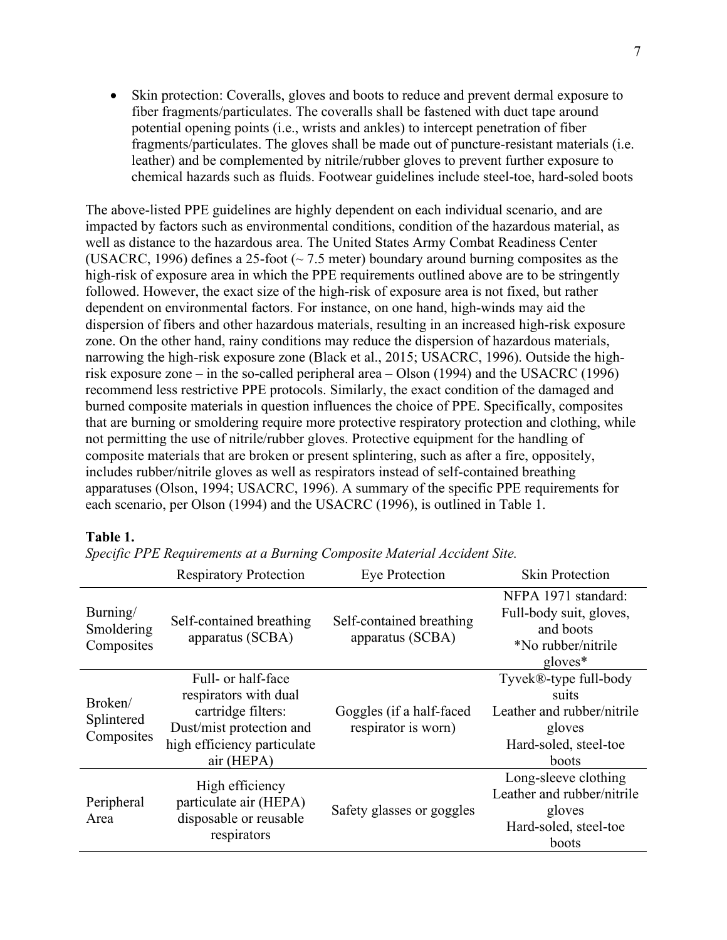• Skin protection: Coveralls, gloves and boots to reduce and prevent dermal exposure to fiber fragments/particulates. The coveralls shall be fastened with duct tape around potential opening points (i.e., wrists and ankles) to intercept penetration of fiber fragments/particulates. The gloves shall be made out of puncture-resistant materials (i.e. leather) and be complemented by nitrile/rubber gloves to prevent further exposure to chemical hazards such as fluids. Footwear guidelines include steel-toe, hard-soled boots

The above-listed PPE guidelines are highly dependent on each individual scenario, and are impacted by factors such as environmental conditions, condition of the hazardous material, as well as distance to the hazardous area. The United States Army Combat Readiness Center (USACRC, 1996) defines a 25-foot ( $\sim$  7.5 meter) boundary around burning composites as the high-risk of exposure area in which the PPE requirements outlined above are to be stringently followed. However, the exact size of the high-risk of exposure area is not fixed, but rather dependent on environmental factors. For instance, on one hand, high-winds may aid the dispersion of fibers and other hazardous materials, resulting in an increased high-risk exposure zone. On the other hand, rainy conditions may reduce the dispersion of hazardous materials, narrowing the high-risk exposure zone (Black et al., 2015; USACRC, 1996). Outside the highrisk exposure zone – in the so-called peripheral area – Olson (1994) and the USACRC (1996) recommend less restrictive PPE protocols. Similarly, the exact condition of the damaged and burned composite materials in question influences the choice of PPE. Specifically, composites that are burning or smoldering require more protective respiratory protection and clothing, while not permitting the use of nitrile/rubber gloves. Protective equipment for the handling of composite materials that are broken or present splintering, such as after a fire, oppositely, includes rubber/nitrile gloves as well as respirators instead of self-contained breathing apparatuses (Olson, 1994; USACRC, 1996). A summary of the specific PPE requirements for each scenario, per Olson (1994) and the USACRC (1996), is outlined in Table 1.

#### **Table 1.**

|                                      | <b>Respiratory Protection</b>                                                                                                              | Eye Protection                                  | <b>Skin Protection</b>                                                                                   |
|--------------------------------------|--------------------------------------------------------------------------------------------------------------------------------------------|-------------------------------------------------|----------------------------------------------------------------------------------------------------------|
| Burning/<br>Smoldering<br>Composites | Self-contained breathing<br>apparatus (SCBA)                                                                                               | Self-contained breathing<br>apparatus (SCBA)    | NFPA 1971 standard:<br>Full-body suit, gloves,<br>and boots<br>*No rubber/nitrile<br>$gloves*$           |
| Broken/<br>Splintered<br>Composites  | Full- or half-face<br>respirators with dual<br>cartridge filters:<br>Dust/mist protection and<br>high efficiency particulate<br>air (HEPA) | Goggles (if a half-faced<br>respirator is worn) | Tyvek®-type full-body<br>suits<br>Leather and rubber/nitrile<br>gloves<br>Hard-soled, steel-toe<br>boots |
| Peripheral<br>Area                   | High efficiency<br>particulate air (HEPA)<br>disposable or reusable<br>respirators                                                         | Safety glasses or goggles                       | Long-sleeve clothing<br>Leather and rubber/nitrile<br>gloves<br>Hard-soled, steel-toe<br>boots           |

*Specific PPE Requirements at a Burning Composite Material Accident Site.*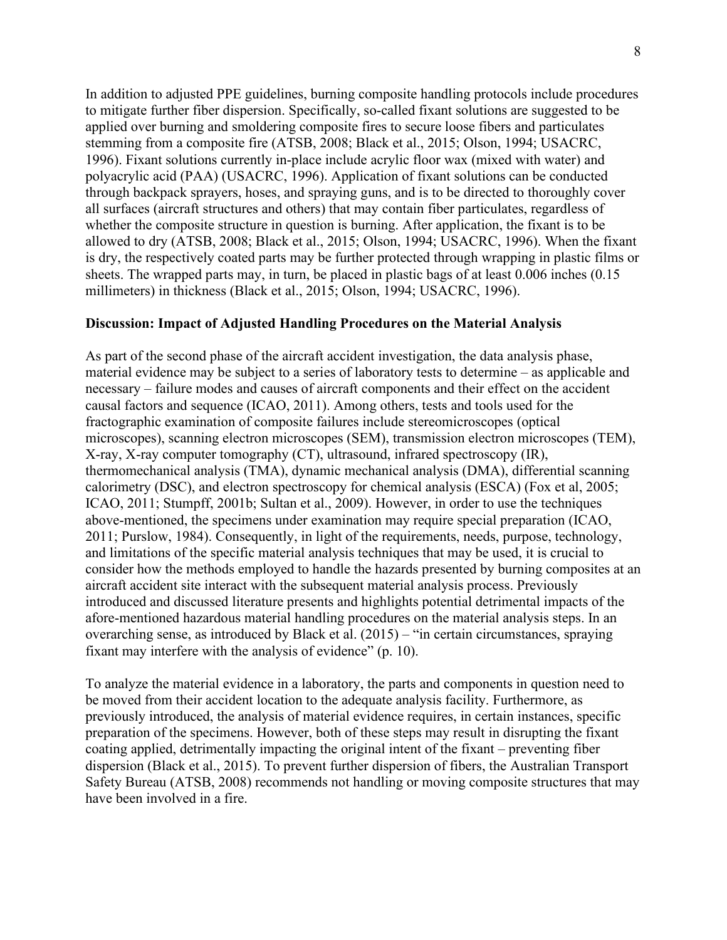In addition to adjusted PPE guidelines, burning composite handling protocols include procedures to mitigate further fiber dispersion. Specifically, so-called fixant solutions are suggested to be applied over burning and smoldering composite fires to secure loose fibers and particulates stemming from a composite fire (ATSB, 2008; Black et al., 2015; Olson, 1994; USACRC, 1996). Fixant solutions currently in-place include acrylic floor wax (mixed with water) and polyacrylic acid (PAA) (USACRC, 1996). Application of fixant solutions can be conducted through backpack sprayers, hoses, and spraying guns, and is to be directed to thoroughly cover all surfaces (aircraft structures and others) that may contain fiber particulates, regardless of whether the composite structure in question is burning. After application, the fixant is to be allowed to dry (ATSB, 2008; Black et al., 2015; Olson, 1994; USACRC, 1996). When the fixant is dry, the respectively coated parts may be further protected through wrapping in plastic films or sheets. The wrapped parts may, in turn, be placed in plastic bags of at least 0.006 inches (0.15 millimeters) in thickness (Black et al., 2015; Olson, 1994; USACRC, 1996).

# **Discussion: Impact of Adjusted Handling Procedures on the Material Analysis**

As part of the second phase of the aircraft accident investigation, the data analysis phase, material evidence may be subject to a series of laboratory tests to determine – as applicable and necessary – failure modes and causes of aircraft components and their effect on the accident causal factors and sequence (ICAO, 2011). Among others, tests and tools used for the fractographic examination of composite failures include stereomicroscopes (optical microscopes), scanning electron microscopes (SEM), transmission electron microscopes (TEM), X-ray, X-ray computer tomography (CT), ultrasound, infrared spectroscopy (IR), thermomechanical analysis (TMA), dynamic mechanical analysis (DMA), differential scanning calorimetry (DSC), and electron spectroscopy for chemical analysis (ESCA) (Fox et al, 2005; ICAO, 2011; Stumpff, 2001b; Sultan et al., 2009). However, in order to use the techniques above-mentioned, the specimens under examination may require special preparation (ICAO, 2011; Purslow, 1984). Consequently, in light of the requirements, needs, purpose, technology, and limitations of the specific material analysis techniques that may be used, it is crucial to consider how the methods employed to handle the hazards presented by burning composites at an aircraft accident site interact with the subsequent material analysis process. Previously introduced and discussed literature presents and highlights potential detrimental impacts of the afore-mentioned hazardous material handling procedures on the material analysis steps. In an overarching sense, as introduced by Black et al. (2015) – "in certain circumstances, spraying fixant may interfere with the analysis of evidence" (p. 10).

To analyze the material evidence in a laboratory, the parts and components in question need to be moved from their accident location to the adequate analysis facility. Furthermore, as previously introduced, the analysis of material evidence requires, in certain instances, specific preparation of the specimens. However, both of these steps may result in disrupting the fixant coating applied, detrimentally impacting the original intent of the fixant – preventing fiber dispersion (Black et al., 2015). To prevent further dispersion of fibers, the Australian Transport Safety Bureau (ATSB, 2008) recommends not handling or moving composite structures that may have been involved in a fire.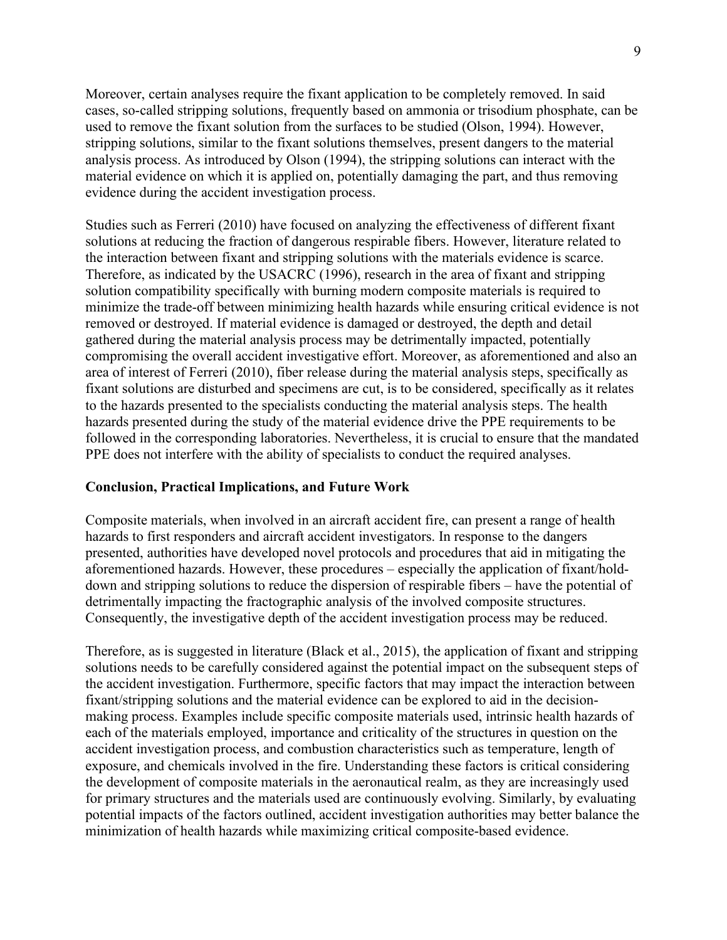Moreover, certain analyses require the fixant application to be completely removed. In said cases, so-called stripping solutions, frequently based on ammonia or trisodium phosphate, can be used to remove the fixant solution from the surfaces to be studied (Olson, 1994). However, stripping solutions, similar to the fixant solutions themselves, present dangers to the material analysis process. As introduced by Olson (1994), the stripping solutions can interact with the material evidence on which it is applied on, potentially damaging the part, and thus removing evidence during the accident investigation process.

Studies such as Ferreri (2010) have focused on analyzing the effectiveness of different fixant solutions at reducing the fraction of dangerous respirable fibers. However, literature related to the interaction between fixant and stripping solutions with the materials evidence is scarce. Therefore, as indicated by the USACRC (1996), research in the area of fixant and stripping solution compatibility specifically with burning modern composite materials is required to minimize the trade-off between minimizing health hazards while ensuring critical evidence is not removed or destroyed. If material evidence is damaged or destroyed, the depth and detail gathered during the material analysis process may be detrimentally impacted, potentially compromising the overall accident investigative effort. Moreover, as aforementioned and also an area of interest of Ferreri (2010), fiber release during the material analysis steps, specifically as fixant solutions are disturbed and specimens are cut, is to be considered, specifically as it relates to the hazards presented to the specialists conducting the material analysis steps. The health hazards presented during the study of the material evidence drive the PPE requirements to be followed in the corresponding laboratories. Nevertheless, it is crucial to ensure that the mandated PPE does not interfere with the ability of specialists to conduct the required analyses.

# **Conclusion, Practical Implications, and Future Work**

Composite materials, when involved in an aircraft accident fire, can present a range of health hazards to first responders and aircraft accident investigators. In response to the dangers presented, authorities have developed novel protocols and procedures that aid in mitigating the aforementioned hazards. However, these procedures – especially the application of fixant/holddown and stripping solutions to reduce the dispersion of respirable fibers – have the potential of detrimentally impacting the fractographic analysis of the involved composite structures. Consequently, the investigative depth of the accident investigation process may be reduced.

Therefore, as is suggested in literature (Black et al., 2015), the application of fixant and stripping solutions needs to be carefully considered against the potential impact on the subsequent steps of the accident investigation. Furthermore, specific factors that may impact the interaction between fixant/stripping solutions and the material evidence can be explored to aid in the decisionmaking process. Examples include specific composite materials used, intrinsic health hazards of each of the materials employed, importance and criticality of the structures in question on the accident investigation process, and combustion characteristics such as temperature, length of exposure, and chemicals involved in the fire. Understanding these factors is critical considering the development of composite materials in the aeronautical realm, as they are increasingly used for primary structures and the materials used are continuously evolving. Similarly, by evaluating potential impacts of the factors outlined, accident investigation authorities may better balance the minimization of health hazards while maximizing critical composite-based evidence.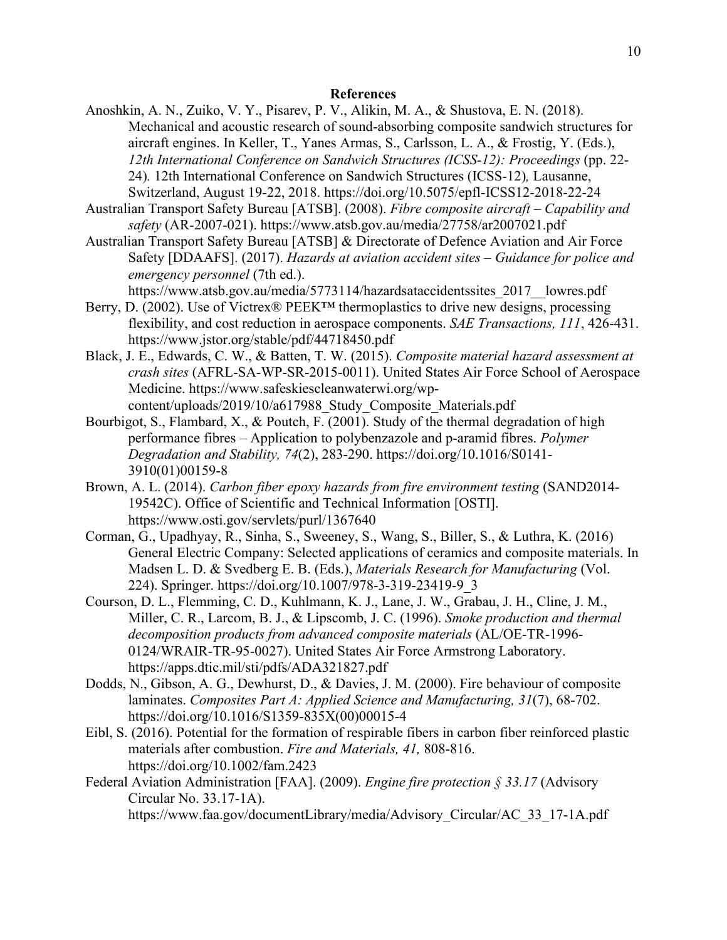#### **References**

- Anoshkin, A. N., Zuiko, V. Y., Pisarev, P. V., Alikin, M. A., & Shustova, E. N. (2018). Mechanical and acoustic research of sound-absorbing composite sandwich structures for aircraft engines. In Keller, T., Yanes Armas, S., Carlsson, L. A., & Frostig, Y. (Eds.), *12th International Conference on Sandwich Structures (ICSS-12): Proceedings* (pp. 22- 24)*.* 12th International Conference on Sandwich Structures (ICSS-12)*,* Lausanne, Switzerland, August 19-22, 2018. https://doi.org/10.5075/epfl-ICSS12-2018-22-24
- Australian Transport Safety Bureau [ATSB]. (2008). *Fibre composite aircraft – Capability and safety* (AR-2007-021). https://www.atsb.gov.au/media/27758/ar2007021.pdf
- Australian Transport Safety Bureau [ATSB] & Directorate of Defence Aviation and Air Force Safety [DDAAFS]. (2017). *Hazards at aviation accident sites – Guidance for police and emergency personnel* (7th ed.).

https://www.atsb.gov.au/media/5773114/hazardsataccidentssites\_2017\_\_lowres.pdf Berry, D. (2002). Use of Victrex® PEEK™ thermoplastics to drive new designs, processing

- flexibility, and cost reduction in aerospace components. *SAE Transactions, 111*, 426-431. https://www.jstor.org/stable/pdf/44718450.pdf
- Black, J. E., Edwards, C. W., & Batten, T. W. (2015). *Composite material hazard assessment at crash sites* (AFRL-SA-WP-SR-2015-0011). United States Air Force School of Aerospace Medicine. https://www.safeskiescleanwaterwi.org/wpcontent/uploads/2019/10/a617988\_Study\_Composite\_Materials.pdf
- Bourbigot, S., Flambard, X., & Poutch, F. (2001). Study of the thermal degradation of high performance fibres – Application to polybenzazole and p-aramid fibres. *Polymer Degradation and Stability, 74*(2), 283-290. https://doi.org/10.1016/S0141- 3910(01)00159-8
- Brown, A. L. (2014). *Carbon fiber epoxy hazards from fire environment testing* (SAND2014-19542C). Office of Scientific and Technical Information [OSTI]. https://www.osti.gov/servlets/purl/1367640
- Corman, G., Upadhyay, R., Sinha, S., Sweeney, S., Wang, S., Biller, S., & Luthra, K. (2016) General Electric Company: Selected applications of ceramics and composite materials. In Madsen L. D. & Svedberg E. B. (Eds.), *Materials Research for Manufacturing* (Vol. 224). Springer. https://doi.org/10.1007/978-3-319-23419-9\_3
- Courson, D. L., Flemming, C. D., Kuhlmann, K. J., Lane, J. W., Grabau, J. H., Cline, J. M., Miller, C. R., Larcom, B. J., & Lipscomb, J. C. (1996). *Smoke production and thermal decomposition products from advanced composite materials* (AL/OE-TR-1996- 0124/WRAIR-TR-95-0027). United States Air Force Armstrong Laboratory. https://apps.dtic.mil/sti/pdfs/ADA321827.pdf
- Dodds, N., Gibson, A. G., Dewhurst, D., & Davies, J. M. (2000). Fire behaviour of composite laminates. *Composites Part A: Applied Science and Manufacturing, 31*(7), 68-702. https://doi.org/10.1016/S1359-835X(00)00015-4
- Eibl, S. (2016). Potential for the formation of respirable fibers in carbon fiber reinforced plastic materials after combustion. *Fire and Materials, 41,* 808-816. https://doi.org/10.1002/fam.2423
- Federal Aviation Administration [FAA]. (2009). *Engine fire protection § 33.17* (Advisory Circular No. 33.17-1A). https://www.faa.gov/documentLibrary/media/Advisory\_Circular/AC\_33\_17-1A.pdf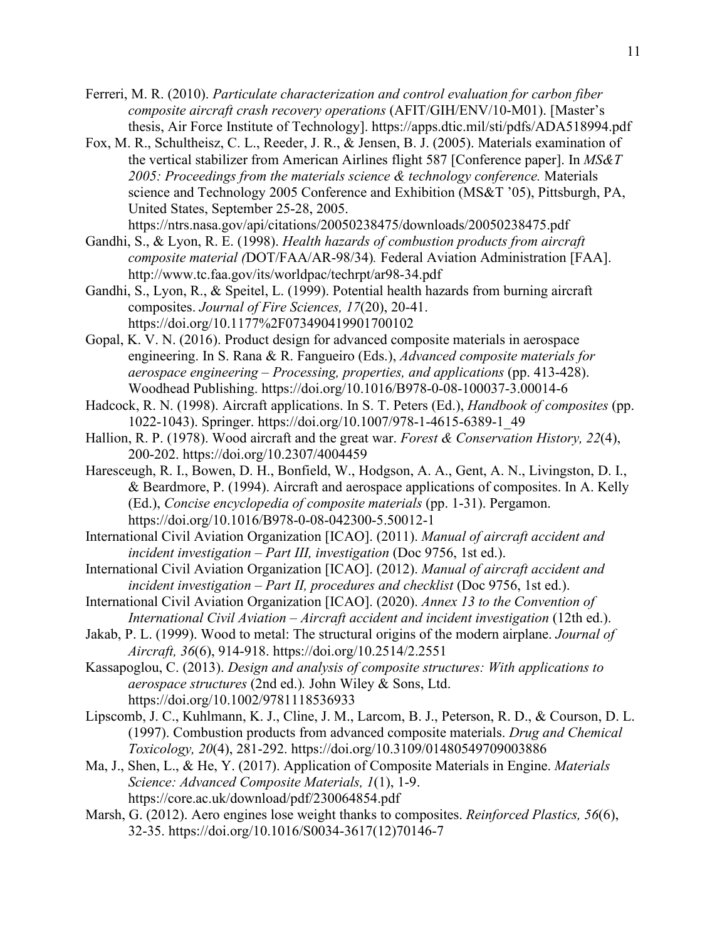- Ferreri, M. R. (2010). *Particulate characterization and control evaluation for carbon fiber composite aircraft crash recovery operations* (AFIT/GIH/ENV/10-M01). [Master's thesis, Air Force Institute of Technology]. https://apps.dtic.mil/sti/pdfs/ADA518994.pdf
- Fox, M. R., Schultheisz, C. L., Reeder, J. R., & Jensen, B. J. (2005). Materials examination of the vertical stabilizer from American Airlines flight 587 [Conference paper]. In *MS&T 2005: Proceedings from the materials science & technology conference.* Materials science and Technology 2005 Conference and Exhibition (MS&T '05), Pittsburgh, PA, United States, September 25-28, 2005.

https://ntrs.nasa.gov/api/citations/20050238475/downloads/20050238475.pdf

- Gandhi, S., & Lyon, R. E. (1998). *Health hazards of combustion products from aircraft composite material (*DOT/FAA/AR-98/34)*.* Federal Aviation Administration [FAA]. http://www.tc.faa.gov/its/worldpac/techrpt/ar98-34.pdf
- Gandhi, S., Lyon, R., & Speitel, L. (1999). Potential health hazards from burning aircraft composites. *Journal of Fire Sciences, 17*(20), 20-41. https://doi.org/10.1177%2F073490419901700102
- Gopal, K. V. N. (2016). Product design for advanced composite materials in aerospace engineering. In S. Rana & R. Fangueiro (Eds.), *Advanced composite materials for aerospace engineering – Processing, properties, and applications* (pp. 413-428). Woodhead Publishing. https://doi.org/10.1016/B978-0-08-100037-3.00014-6
- Hadcock, R. N. (1998). Aircraft applications. In S. T. Peters (Ed.), *Handbook of composites* (pp. 1022-1043). Springer. https://doi.org/10.1007/978-1-4615-6389-1\_49
- Hallion, R. P. (1978). Wood aircraft and the great war. *Forest & Conservation History, 22*(4), 200-202. https://doi.org/10.2307/4004459
- Haresceugh, R. I., Bowen, D. H., Bonfield, W., Hodgson, A. A., Gent, A. N., Livingston, D. I., & Beardmore, P. (1994). Aircraft and aerospace applications of composites. In A. Kelly (Ed.), *Concise encyclopedia of composite materials* (pp. 1-31). Pergamon. https://doi.org/10.1016/B978-0-08-042300-5.50012-1
- International Civil Aviation Organization [ICAO]. (2011). *Manual of aircraft accident and incident investigation – Part III, investigation* (Doc 9756, 1st ed.).
- International Civil Aviation Organization [ICAO]. (2012). *Manual of aircraft accident and incident investigation – Part II, procedures and checklist* (Doc 9756, 1st ed.).
- International Civil Aviation Organization [ICAO]. (2020). *Annex 13 to the Convention of International Civil Aviation – Aircraft accident and incident investigation* (12th ed.).
- Jakab, P. L. (1999). Wood to metal: The structural origins of the modern airplane. *Journal of Aircraft, 36*(6), 914-918. https://doi.org/10.2514/2.2551
- Kassapoglou, C. (2013). *Design and analysis of composite structures: With applications to aerospace structures* (2nd ed.)*.* John Wiley & Sons, Ltd. https://doi.org/10.1002/9781118536933
- Lipscomb, J. C., Kuhlmann, K. J., Cline, J. M., Larcom, B. J., Peterson, R. D., & Courson, D. L. (1997). Combustion products from advanced composite materials. *Drug and Chemical Toxicology, 20*(4), 281-292. https://doi.org/10.3109/01480549709003886
- Ma, J., Shen, L., & He, Y. (2017). Application of Composite Materials in Engine. *Materials Science: Advanced Composite Materials, 1*(1), 1-9. https://core.ac.uk/download/pdf/230064854.pdf
- Marsh, G. (2012). Aero engines lose weight thanks to composites. *Reinforced Plastics, 56*(6), 32-35. https://doi.org/10.1016/S0034-3617(12)70146-7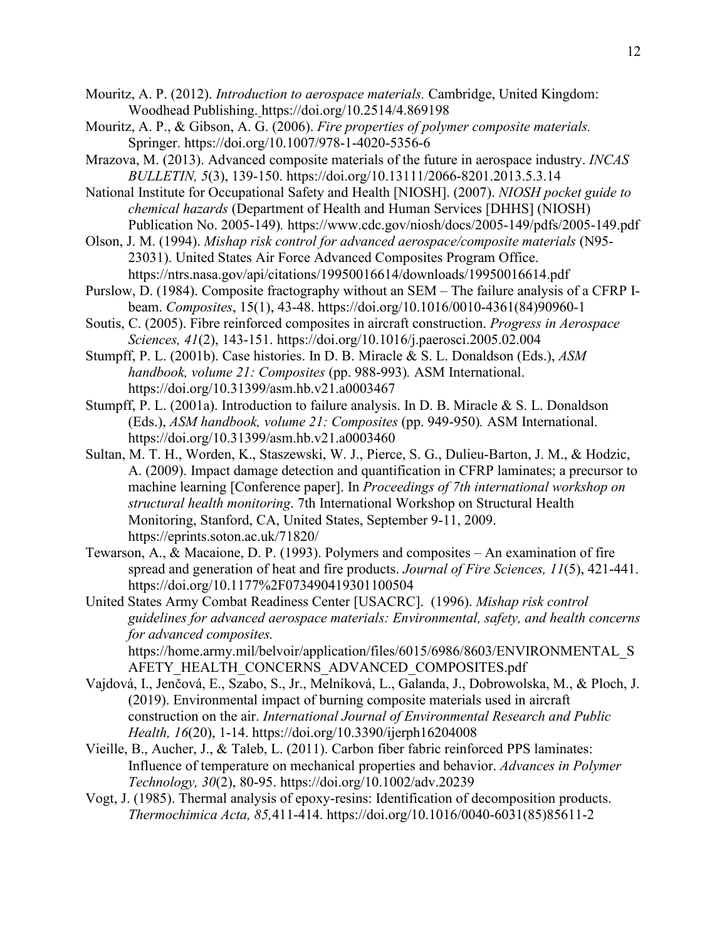Mouritz, A. P. (2012). *Introduction to aerospace materials.* Cambridge, United Kingdom: Woodhead Publishing. https://doi.org/10.2514/4.869198

- Mouritz, A. P., & Gibson, A. G. (2006). *Fire properties of polymer composite materials.*  Springer. https://doi.org/10.1007/978-1-4020-5356-6
- Mrazova, M. (2013). Advanced composite materials of the future in aerospace industry. *INCAS BULLETIN, 5*(3), 139-150. https://doi.org/10.13111/2066-8201.2013.5.3.14
- National Institute for Occupational Safety and Health [NIOSH]. (2007). *NIOSH pocket guide to chemical hazards* (Department of Health and Human Services [DHHS] (NIOSH) Publication No. 2005-149)*.* https://www.cdc.gov/niosh/docs/2005-149/pdfs/2005-149.pdf
- Olson, J. M. (1994). *Mishap risk control for advanced aerospace/composite materials* (N95- 23031). United States Air Force Advanced Composites Program Office. https://ntrs.nasa.gov/api/citations/19950016614/downloads/19950016614.pdf
- Purslow, D. (1984). Composite fractography without an SEM The failure analysis of a CFRP Ibeam. *Composites*, 15(1), 43-48. https://doi.org/10.1016/0010-4361(84)90960-1
- Soutis, C. (2005). Fibre reinforced composites in aircraft construction. *Progress in Aerospace Sciences, 41*(2), 143-151. https://doi.org/10.1016/j.paerosci.2005.02.004
- Stumpff, P. L. (2001b). Case histories. In D. B. Miracle & S. L. Donaldson (Eds.), *ASM handbook, volume 21: Composites* (pp. 988-993)*.* ASM International. https://doi.org/10.31399/asm.hb.v21.a0003467
- Stumpff, P. L. (2001a). Introduction to failure analysis. In D. B. Miracle & S. L. Donaldson (Eds.), *ASM handbook, volume 21: Composites* (pp. 949-950)*.* ASM International. https://doi.org/10.31399/asm.hb.v21.a0003460
- Sultan, M. T. H., Worden, K., Staszewski, W. J., Pierce, S. G., Dulieu-Barton, J. M., & Hodzic, A. (2009). Impact damage detection and quantification in CFRP laminates; a precursor to machine learning [Conference paper]. In *Proceedings of 7th international workshop on structural health monitoring*. 7th International Workshop on Structural Health Monitoring, Stanford, CA, United States, September 9-11, 2009. https://eprints.soton.ac.uk/71820/
- Tewarson, A., & Macaione, D. P. (1993). Polymers and composites An examination of fire spread and generation of heat and fire products. *Journal of Fire Sciences, 11*(5), 421-441. https://doi.org/10.1177%2F073490419301100504
- United States Army Combat Readiness Center [USACRC]. (1996). *Mishap risk control guidelines for advanced aerospace materials: Environmental, safety, and health concerns for advanced composites.* https://home.army.mil/belvoir/application/files/6015/6986/8603/ENVIRONMENTAL\_S AFETY\_HEALTH\_CONCERNS\_ADVANCED\_COMPOSITES.pdf
- Vajdová, I., Jenčová, E., Szabo, S., Jr., Melníková, L., Galanda, J., Dobrowolska, M., & Ploch, J. (2019). Environmental impact of burning composite materials used in aircraft construction on the air. *International Journal of Environmental Research and Public Health, 16*(20), 1-14. https://doi.org/10.3390/ijerph16204008
- Vieille, B., Aucher, J., & Taleb, L. (2011). Carbon fiber fabric reinforced PPS laminates: Influence of temperature on mechanical properties and behavior. *Advances in Polymer Technology, 30*(2), 80-95. https://doi.org/10.1002/adv.20239
- Vogt, J. (1985). Thermal analysis of epoxy-resins: Identification of decomposition products. *Thermochimica Acta, 85,*411-414. https://doi.org/10.1016/0040-6031(85)85611-2